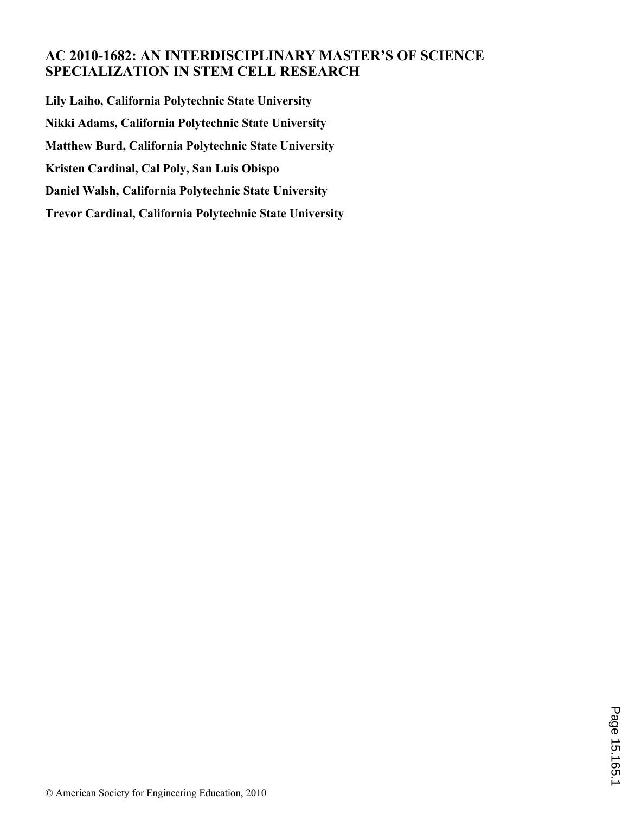## **AC 2010-1682: AN INTERDISCIPLINARY MASTER'S OF SCIENCE SPECIALIZATION IN STEM CELL RESEARCH**

**Lily Laiho, California Polytechnic State University Nikki Adams, California Polytechnic State University Matthew Burd, California Polytechnic State University Kristen Cardinal, Cal Poly, San Luis Obispo Daniel Walsh, California Polytechnic State University Trevor Cardinal, California Polytechnic State University**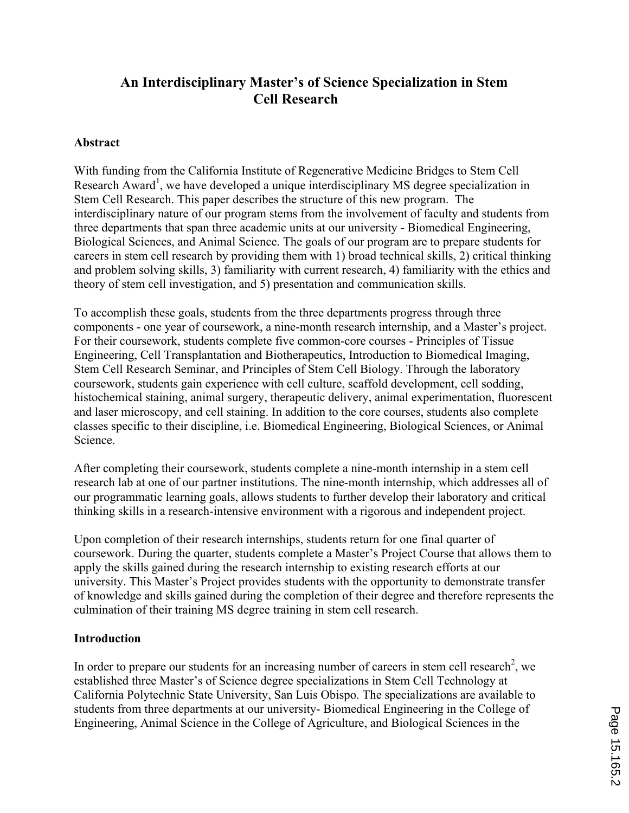## **An Interdisciplinary Master's of Science Specialization in Stem Cell Research**

#### **Abstract**

With funding from the California Institute of Regenerative Medicine Bridges to Stem Cell Research Award<sup>1</sup>, we have developed a unique interdisciplinary MS degree specialization in Stem Cell Research. This paper describes the structure of this new program. The interdisciplinary nature of our program stems from the involvement of faculty and students from three departments that span three academic units at our university - Biomedical Engineering, Biological Sciences, and Animal Science. The goals of our program are to prepare students for careers in stem cell research by providing them with 1) broad technical skills, 2) critical thinking and problem solving skills, 3) familiarity with current research, 4) familiarity with the ethics and theory of stem cell investigation, and 5) presentation and communication skills.

To accomplish these goals, students from the three departments progress through three components - one year of coursework, a nine-month research internship, and a Master's project. For their coursework, students complete five common-core courses - Principles of Tissue Engineering, Cell Transplantation and Biotherapeutics, Introduction to Biomedical Imaging, Stem Cell Research Seminar, and Principles of Stem Cell Biology. Through the laboratory coursework, students gain experience with cell culture, scaffold development, cell sodding, histochemical staining, animal surgery, therapeutic delivery, animal experimentation, fluorescent and laser microscopy, and cell staining. In addition to the core courses, students also complete classes specific to their discipline, i.e. Biomedical Engineering, Biological Sciences, or Animal Science.

After completing their coursework, students complete a nine-month internship in a stem cell research lab at one of our partner institutions. The nine-month internship, which addresses all of our programmatic learning goals, allows students to further develop their laboratory and critical thinking skills in a research-intensive environment with a rigorous and independent project.

Upon completion of their research internships, students return for one final quarter of coursework. During the quarter, students complete a Master's Project Course that allows them to apply the skills gained during the research internship to existing research efforts at our university. This Master's Project provides students with the opportunity to demonstrate transfer of knowledge and skills gained during the completion of their degree and therefore represents the culmination of their training MS degree training in stem cell research.

## **Introduction**

In order to prepare our students for an increasing number of careers in stem cell research<sup>2</sup>, we established three Master's of Science degree specializations in Stem Cell Technology at California Polytechnic State University, San Luis Obispo. The specializations are available to students from three departments at our university- Biomedical Engineering in the College of Engineering, Animal Science in the College of Agriculture, and Biological Sciences in the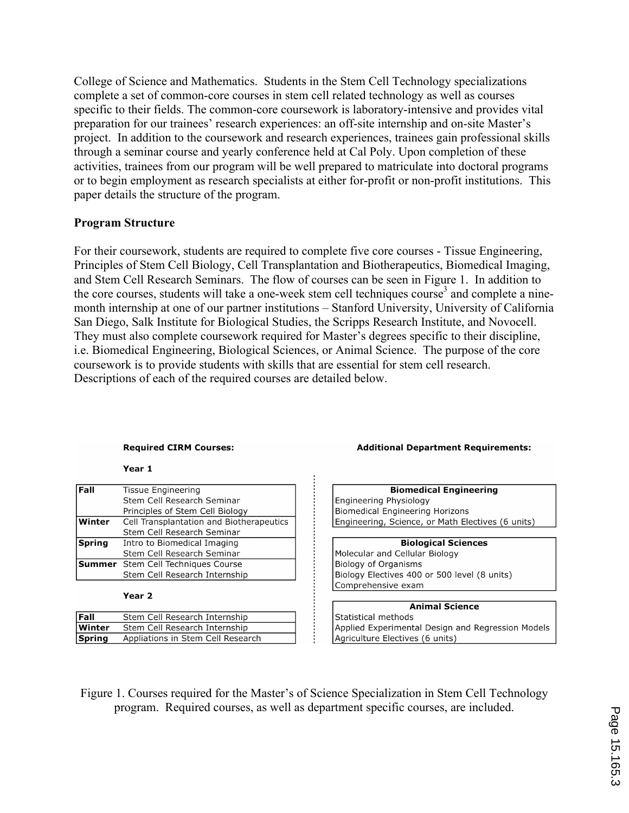College of Science and Mathematics. Students in the Stem Cell Technology specializations complete a set of common-core courses in stem cell related technology as well as courses specific to their fields. The common-core coursework is laboratory-intensive and provides vital preparation for our trainees' research experiences: an off-site internship and on-site Master's project. In addition to the coursework and research experiences, trainees gain professional skills through a seminar course and yearly conference held at Cal Poly. Upon completion of these activities, trainees from our program will be well prepared to matriculate into doctoral programs or to begin employment as research specialists at either for-profit or non-profit institutions. This paper details the structure of the program.

#### **Program Structure**

For their coursework, students are required to complete five core courses - Tissue Engineering, Principles of Stem Cell Biology, Cell Transplantation and Biotherapeutics, Biomedical Imaging, and Stem Cell Research Seminars. The flow of courses can be seen in Figure 1. In addition to the core courses, students will take a one-week stem cell techniques course<sup>3</sup> and complete a ninemonth internship at one of our partner institutions – Stanford University, University of California San Diego, Salk Institute for Biological Studies, the Scripps Research Institute, and Novocell. They must also complete coursework required for Master's degrees specific to their discipline, i.e. Biomedical Engineering, Biological Sciences, or Animal Science. The purpose of the core coursework is to provide students with skills that are essential for stem cell research. Descriptions of each of the required courses are detailed below.

#### **Required CIRM Courses:**

Year 1

| <b>Fall</b>   | <b>Tissue Engineering</b>                 |
|---------------|-------------------------------------------|
|               | Stem Cell Research Seminar                |
|               | Principles of Stem Cell Biology           |
| Winter        | Cell Transplantation and Biotherapeutics  |
|               | Stem Cell Research Seminar                |
| <b>Spring</b> | Intro to Biomedical Imaging               |
|               | Stem Cell Research Seminar                |
|               | <b>Summer</b> Stem Cell Techniques Course |
|               | Stem Cell Research Internship             |

#### Year<sub>2</sub>

| l Fall   | Stem Cell Research Internship     |
|----------|-----------------------------------|
| l Winter | Stem Cell Research Internship     |
| Spring   | Appliations in Stem Cell Research |

# **Additional Department Requirements:**

| <b>Biomedical Engineering</b>                     |  |  |
|---------------------------------------------------|--|--|
| Engineering Physiology                            |  |  |
| Biomedical Engineering Horizons                   |  |  |
| Engineering, Science, or Math Electives (6 units) |  |  |
|                                                   |  |  |
| <b>Biological Sciences</b>                        |  |  |
| Molecular and Cellular Biology                    |  |  |
| Biology of Organisms                              |  |  |
| Biology Electives 400 or 500 level (8 units)      |  |  |
| Comprehensive exam                                |  |  |

# **Animal Science**

Statistical methods Applied Experimental Design and Regression Models Agriculture Electives (6 units)

Figure 1. Courses required for the Master's of Science Specialization in Stem Cell Technology program. Required courses, as well as department specific courses, are included.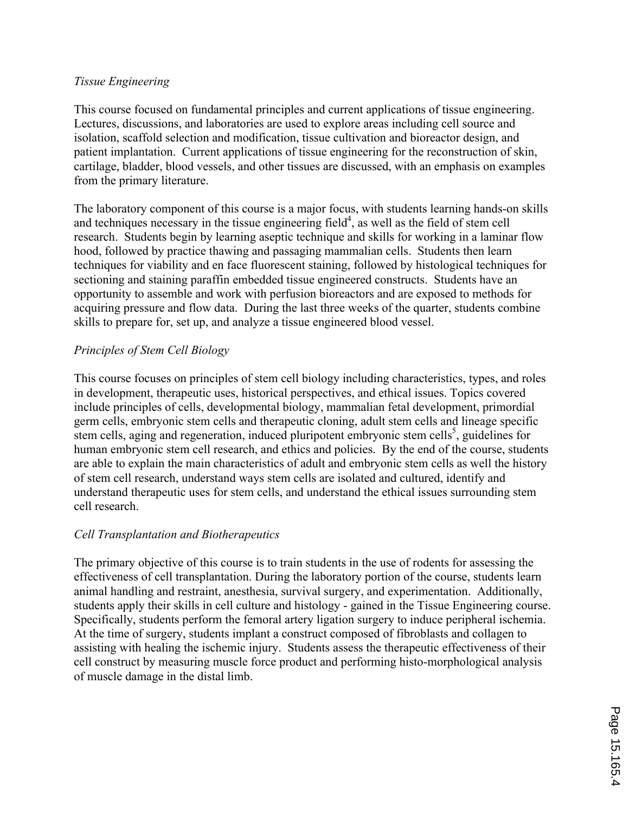#### *Tissue Engineering*

This course focused on fundamental principles and current applications of tissue engineering. Lectures, discussions, and laboratories are used to explore areas including cell source and isolation, scaffold selection and modification, tissue cultivation and bioreactor design, and patient implantation. Current applications of tissue engineering for the reconstruction of skin, cartilage, bladder, blood vessels, and other tissues are discussed, with an emphasis on examples from the primary literature.

The laboratory component of this course is a major focus, with students learning hands-on skills and techniques necessary in the tissue engineering field $4$ , as well as the field of stem cell research. Students begin by learning aseptic technique and skills for working in a laminar flow hood, followed by practice thawing and passaging mammalian cells. Students then learn techniques for viability and en face fluorescent staining, followed by histological techniques for sectioning and staining paraffin embedded tissue engineered constructs. Students have an opportunity to assemble and work with perfusion bioreactors and are exposed to methods for acquiring pressure and flow data. During the last three weeks of the quarter, students combine skills to prepare for, set up, and analyze a tissue engineered blood vessel.

## *Principles of Stem Cell Biology*

This course focuses on principles of stem cell biology including characteristics, types, and roles in development, therapeutic uses, historical perspectives, and ethical issues. Topics covered include principles of cells, developmental biology, mammalian fetal development, primordial germ cells, embryonic stem cells and therapeutic cloning, adult stem cells and lineage specific stem cells, aging and regeneration, induced pluripotent embryonic stem cells<sup>5</sup>, guidelines for human embryonic stem cell research, and ethics and policies. By the end of the course, students are able to explain the main characteristics of adult and embryonic stem cells as well the history of stem cell research, understand ways stem cells are isolated and cultured, identify and understand therapeutic uses for stem cells, and understand the ethical issues surrounding stem cell research.

## *Cell Transplantation and Biotherapeutics*

The primary objective of this course is to train students in the use of rodents for assessing the effectiveness of cell transplantation. During the laboratory portion of the course, students learn animal handling and restraint, anesthesia, survival surgery, and experimentation. Additionally, students apply their skills in cell culture and histology - gained in the Tissue Engineering course. Specifically, students perform the femoral artery ligation surgery to induce peripheral ischemia. At the time of surgery, students implant a construct composed of fibroblasts and collagen to assisting with healing the ischemic injury. Students assess the therapeutic effectiveness of their cell construct by measuring muscle force product and performing histo-morphological analysis of muscle damage in the distal limb.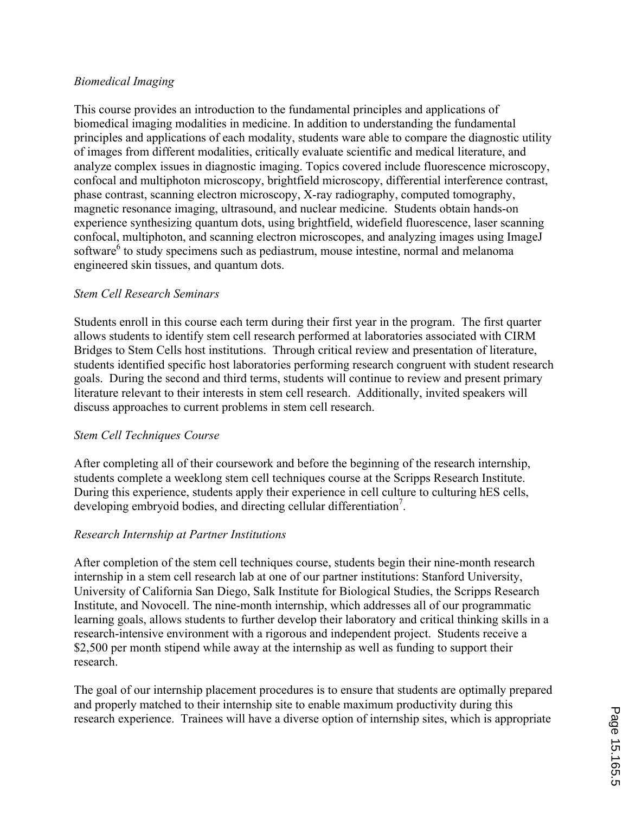## *Biomedical Imaging*

This course provides an introduction to the fundamental principles and applications of biomedical imaging modalities in medicine. In addition to understanding the fundamental principles and applications of each modality, students ware able to compare the diagnostic utility of images from different modalities, critically evaluate scientific and medical literature, and analyze complex issues in diagnostic imaging. Topics covered include fluorescence microscopy, confocal and multiphoton microscopy, brightfield microscopy, differential interference contrast, phase contrast, scanning electron microscopy, X-ray radiography, computed tomography, magnetic resonance imaging, ultrasound, and nuclear medicine. Students obtain hands-on experience synthesizing quantum dots, using brightfield, widefield fluorescence, laser scanning confocal, multiphoton, and scanning electron microscopes, and analyzing images using ImageJ software<sup>6</sup> to study specimens such as pediastrum, mouse intestine, normal and melanoma engineered skin tissues, and quantum dots.

#### *Stem Cell Research Seminars*

Students enroll in this course each term during their first year in the program. The first quarter allows students to identify stem cell research performed at laboratories associated with CIRM Bridges to Stem Cells host institutions. Through critical review and presentation of literature, students identified specific host laboratories performing research congruent with student research goals. During the second and third terms, students will continue to review and present primary literature relevant to their interests in stem cell research. Additionally, invited speakers will discuss approaches to current problems in stem cell research.

## *Stem Cell Techniques Course*

After completing all of their coursework and before the beginning of the research internship, students complete a weeklong stem cell techniques course at the Scripps Research Institute. During this experience, students apply their experience in cell culture to culturing hES cells, developing embryoid bodies, and directing cellular differentiation<sup>7</sup>.

#### *Research Internship at Partner Institutions*

After completion of the stem cell techniques course, students begin their nine-month research internship in a stem cell research lab at one of our partner institutions: Stanford University, University of California San Diego, Salk Institute for Biological Studies, the Scripps Research Institute, and Novocell. The nine-month internship, which addresses all of our programmatic learning goals, allows students to further develop their laboratory and critical thinking skills in a research-intensive environment with a rigorous and independent project. Students receive a \$2,500 per month stipend while away at the internship as well as funding to support their research.

The goal of our internship placement procedures is to ensure that students are optimally prepared and properly matched to their internship site to enable maximum productivity during this research experience. Trainees will have a diverse option of internship sites, which is appropriate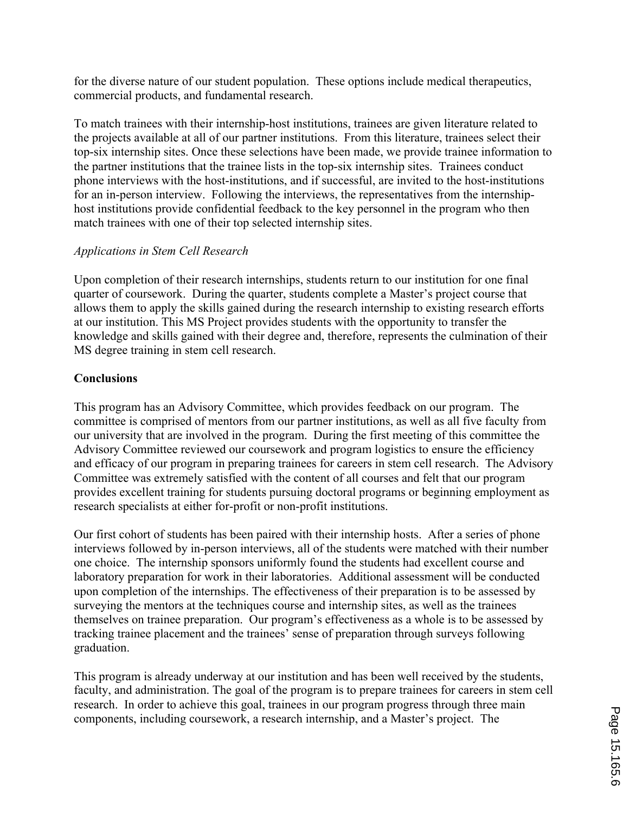for the diverse nature of our student population. These options include medical therapeutics, commercial products, and fundamental research.

To match trainees with their internship-host institutions, trainees are given literature related to the projects available at all of our partner institutions. From this literature, trainees select their top-six internship sites. Once these selections have been made, we provide trainee information to the partner institutions that the trainee lists in the top-six internship sites. Trainees conduct phone interviews with the host-institutions, and if successful, are invited to the host-institutions for an in-person interview. Following the interviews, the representatives from the internshiphost institutions provide confidential feedback to the key personnel in the program who then match trainees with one of their top selected internship sites.

## *Applications in Stem Cell Research*

Upon completion of their research internships, students return to our institution for one final quarter of coursework. During the quarter, students complete a Master's project course that allows them to apply the skills gained during the research internship to existing research efforts at our institution. This MS Project provides students with the opportunity to transfer the knowledge and skills gained with their degree and, therefore, represents the culmination of their MS degree training in stem cell research.

#### **Conclusions**

This program has an Advisory Committee, which provides feedback on our program. The committee is comprised of mentors from our partner institutions, as well as all five faculty from our university that are involved in the program. During the first meeting of this committee the Advisory Committee reviewed our coursework and program logistics to ensure the efficiency and efficacy of our program in preparing trainees for careers in stem cell research. The Advisory Committee was extremely satisfied with the content of all courses and felt that our program provides excellent training for students pursuing doctoral programs or beginning employment as research specialists at either for-profit or non-profit institutions.

Our first cohort of students has been paired with their internship hosts. After a series of phone interviews followed by in-person interviews, all of the students were matched with their number one choice. The internship sponsors uniformly found the students had excellent course and laboratory preparation for work in their laboratories. Additional assessment will be conducted upon completion of the internships. The effectiveness of their preparation is to be assessed by surveying the mentors at the techniques course and internship sites, as well as the trainees themselves on trainee preparation. Our program's effectiveness as a whole is to be assessed by tracking trainee placement and the trainees' sense of preparation through surveys following graduation.

This program is already underway at our institution and has been well received by the students, faculty, and administration. The goal of the program is to prepare trainees for careers in stem cell research. In order to achieve this goal, trainees in our program progress through three main components, including coursework, a research internship, and a Master's project. The